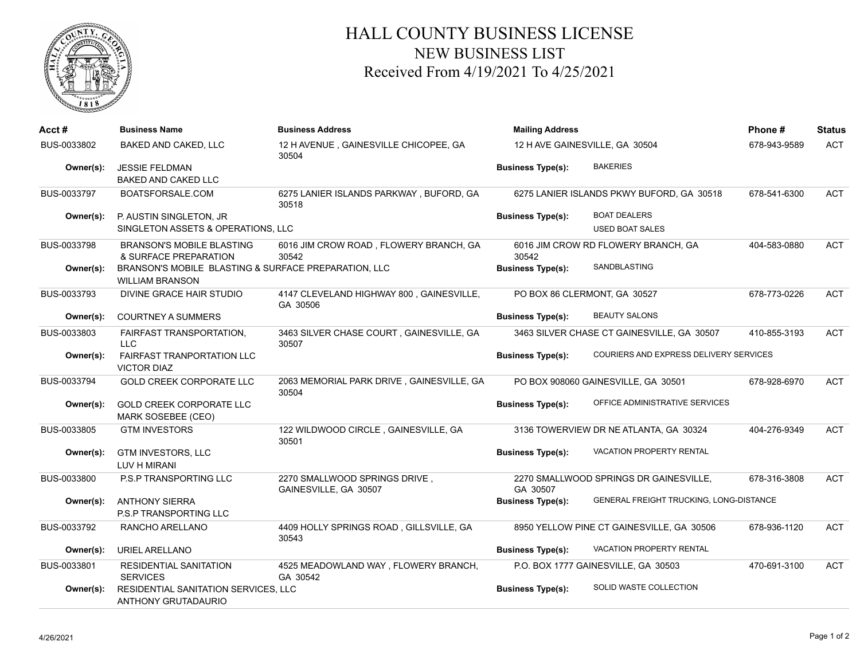

## HALL COUNTY BUSINESS LICENSE NEW BUSINESS LIST Received From 4/19/2021 To 4/25/2021

| Acct#       | <b>Business Name</b>                                                           | <b>Business Address</b>                                | <b>Mailing Address</b><br>12 H AVE GAINESVILLE, GA 30504 |                                               | Phone#       | <b>Status</b> |
|-------------|--------------------------------------------------------------------------------|--------------------------------------------------------|----------------------------------------------------------|-----------------------------------------------|--------------|---------------|
| BUS-0033802 | BAKED AND CAKED, LLC                                                           | 12 H AVENUE, GAINESVILLE CHICOPEE, GA<br>30504         |                                                          |                                               | 678-943-9589 | <b>ACT</b>    |
| Owner(s):   | <b>JESSIE FELDMAN</b><br><b>BAKED AND CAKED LLC</b>                            |                                                        | <b>Business Type(s):</b>                                 | <b>BAKERIES</b>                               |              |               |
| BUS-0033797 | BOATSFORSALE.COM                                                               | 6275 LANIER ISLANDS PARKWAY, BUFORD, GA<br>30518       | 6275 LANIER ISLANDS PKWY BUFORD, GA 30518                |                                               | 678-541-6300 | <b>ACT</b>    |
| Owner(s):   | P. AUSTIN SINGLETON, JR<br>SINGLETON ASSETS & OPERATIONS, LLC                  |                                                        | <b>Business Type(s):</b>                                 | <b>BOAT DEALERS</b><br><b>USED BOAT SALES</b> |              |               |
| BUS-0033798 | <b>BRANSON'S MOBILE BLASTING</b><br>& SURFACE PREPARATION                      | 6016 JIM CROW ROAD, FLOWERY BRANCH, GA<br>30542        | 6016 JIM CROW RD FLOWERY BRANCH, GA<br>30542             |                                               | 404-583-0880 | <b>ACT</b>    |
| Owner(s):   | BRANSON'S MOBILE BLASTING & SURFACE PREPARATION, LLC<br><b>WILLIAM BRANSON</b> |                                                        | <b>Business Type(s):</b>                                 | SANDBLASTING                                  |              |               |
| BUS-0033793 | DIVINE GRACE HAIR STUDIO                                                       | 4147 CLEVELAND HIGHWAY 800, GAINESVILLE,<br>GA 30506   | PO BOX 86 CLERMONT, GA 30527                             |                                               | 678-773-0226 | <b>ACT</b>    |
| Owner(s):   | <b>COURTNEY A SUMMERS</b>                                                      |                                                        | <b>Business Type(s):</b>                                 | <b>BEAUTY SALONS</b>                          |              |               |
| BUS-0033803 | <b>FAIRFAST TRANSPORTATION,</b><br><b>LLC</b>                                  | 3463 SILVER CHASE COURT, GAINESVILLE, GA<br>30507      |                                                          | 3463 SILVER CHASE CT GAINESVILLE, GA 30507    | 410-855-3193 | <b>ACT</b>    |
| Owner(s):   | <b>FAIRFAST TRANPORTATION LLC</b><br><b>VICTOR DIAZ</b>                        |                                                        | <b>Business Type(s):</b>                                 | <b>COURIERS AND EXPRESS DELIVERY SERVICES</b> |              |               |
| BUS-0033794 | <b>GOLD CREEK CORPORATE LLC</b>                                                | 2063 MEMORIAL PARK DRIVE, GAINESVILLE, GA<br>30504     |                                                          | PO BOX 908060 GAINESVILLE, GA 30501           | 678-928-6970 | <b>ACT</b>    |
| Owner(s):   | <b>GOLD CREEK CORPORATE LLC</b><br>MARK SOSEBEE (CEO)                          |                                                        | <b>Business Type(s):</b>                                 | OFFICE ADMINISTRATIVE SERVICES                |              |               |
| BUS-0033805 | <b>GTM INVESTORS</b>                                                           | 122 WILDWOOD CIRCLE, GAINESVILLE, GA<br>30501          | 3136 TOWERVIEW DR NE ATLANTA, GA 30324                   |                                               | 404-276-9349 | <b>ACT</b>    |
| Owner(s):   | <b>GTM INVESTORS, LLC</b><br>LUV H MIRANI                                      |                                                        | <b>Business Type(s):</b>                                 | VACATION PROPERTY RENTAL                      |              |               |
| BUS-0033800 | P.S.P TRANSPORTING LLC                                                         | 2270 SMALLWOOD SPRINGS DRIVE,<br>GAINESVILLE, GA 30507 | GA 30507                                                 | 2270 SMALLWOOD SPRINGS DR GAINESVILLE,        | 678-316-3808 | <b>ACT</b>    |
| Owner(s):   | <b>ANTHONY SIERRA</b><br><b>P.S.P TRANSPORTING LLC</b>                         |                                                        | <b>Business Type(s):</b>                                 | GENERAL FREIGHT TRUCKING, LONG-DISTANCE       |              |               |
| BUS-0033792 | RANCHO ARELLANO                                                                | 4409 HOLLY SPRINGS ROAD, GILLSVILLE, GA<br>30543       |                                                          | 8950 YELLOW PINE CT GAINESVILLE, GA 30506     | 678-936-1120 | <b>ACT</b>    |
| Owner(s):   | URIEL ARELLANO                                                                 |                                                        | <b>Business Type(s):</b>                                 | <b>VACATION PROPERTY RENTAL</b>               |              |               |
| BUS-0033801 | <b>RESIDENTIAL SANITATION</b><br><b>SERVICES</b>                               | 4525 MEADOWLAND WAY, FLOWERY BRANCH,<br>GA 30542       |                                                          | P.O. BOX 1777 GAINESVILLE, GA 30503           | 470-691-3100 | <b>ACT</b>    |
| Owner(s):   | RESIDENTIAL SANITATION SERVICES, LLC<br>ANTHONY GRUTADAURIO                    |                                                        | <b>Business Type(s):</b>                                 | SOLID WASTE COLLECTION                        |              |               |